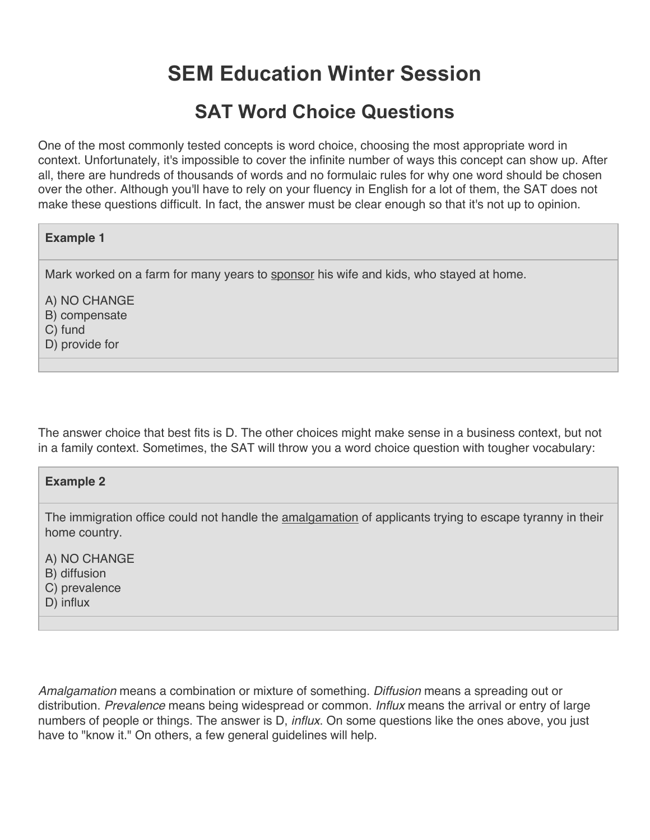# **SEM Education Winter Session**

## **SAT Word Choice Questions**

One of the most commonly tested concepts is word choice, choosing the most appropriate word in context. Unfortunately, it's impossible to cover the infinite number of ways this concept can show up. After all, there are hundreds of thousands of words and no formulaic rules for why one word should be chosen over the other. Although you'll have to rely on your fluency in English for a lot of them, the SAT does not make these questions difficult. In fact, the answer must be clear enough so that it's not up to opinion.

#### **Example 1**

Mark worked on a farm for many years to sponsor his wife and kids, who stayed at home.

A) NO CHANGE

B) compensate

C) fund

D) provide for

The answer choice that best fits is D. The other choices might make sense in a business context, but not in a family context. Sometimes, the SAT will throw you a word choice question with tougher vocabulary:

#### **Example 2**

The immigration office could not handle the **amalgamation** of applicants trying to escape tyranny in their home country.

A) NO CHANGE

B) diffusion

C) prevalence

D) influx

*Amalgamation* means a combination or mixture of something. *Diffusion* means a spreading out or distribution. *Prevalence* means being widespread or common. *Influx* means the arrival or entry of large numbers of people or things. The answer is D, *influx*. On some questions like the ones above, you just have to "know it." On others, a few general guidelines will help.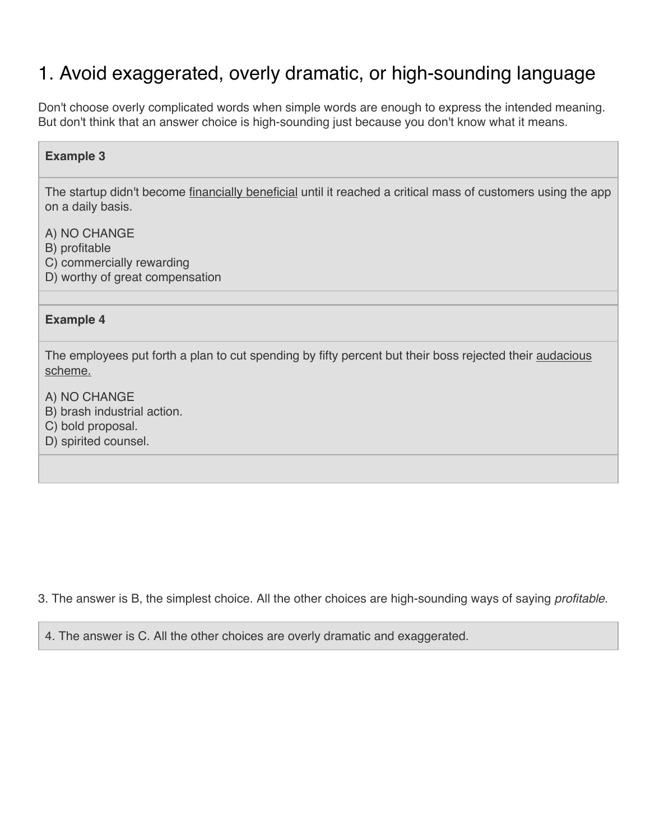# 1. Avoid exaggerated, overly dramatic, or high-sounding language

Don't choose overly complicated words when simple words are enough to express the intended meaning. But don't think that an answer choice is high-sounding just because you don't know what it means.

### **Example 3**

The startup didn't become financially beneficial until it reached a critical mass of customers using the app on a daily basis.

A) NO CHANGE

- B) profitable
- C) commercially rewarding
- D) worthy of great compensation

#### **Example 4**

The employees put forth a plan to cut spending by fifty percent but their boss rejected their audacious scheme.

- A) NO CHANGE
- B) brash industrial action.
- C) bold proposal.
- D) spirited counsel.

3. The answer is B, the simplest choice. All the other choices are high-sounding ways of saying *profitable*.

4. The answer is C. All the other choices are overly dramatic and exaggerated.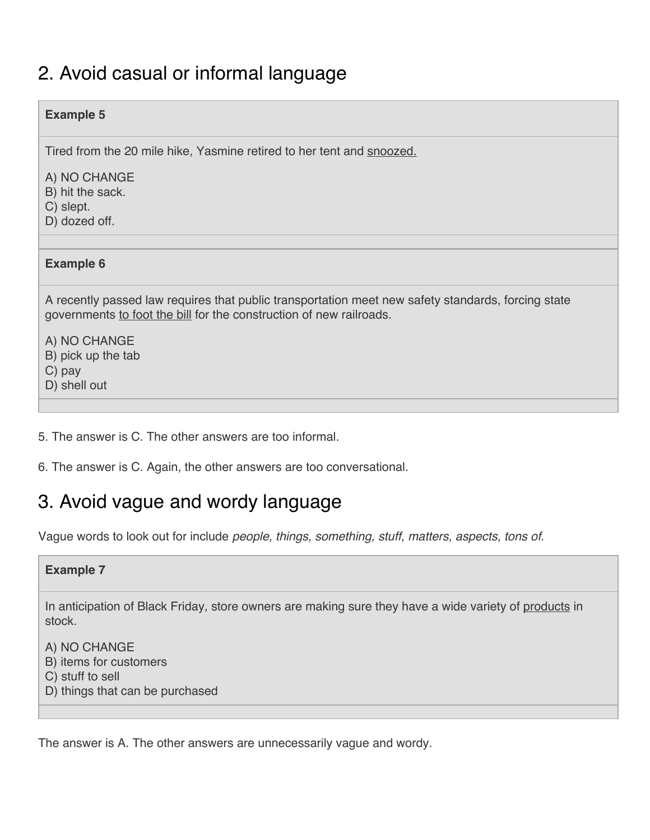## 2. Avoid casual or informal language

### **Example 5**

Tired from the 20 mile hike, Yasmine retired to her tent and snoozed.

A) NO CHANGE

- B) hit the sack.
- C) slept.
- D) dozed off.

#### **Example 6**

A recently passed law requires that public transportation meet new safety standards, forcing state governments to foot the bill for the construction of new railroads.

A) NO CHANGE B) pick up the tab C) pay

- D) shell out
- 5. The answer is C. The other answers are too informal.
- 6. The answer is C. Again, the other answers are too conversational.

## 3. Avoid vague and wordy language

Vague words to look out for include *people, things, something, stuff, matters, aspects, tons of*.

#### **Example 7**

In anticipation of Black Friday, store owners are making sure they have a wide variety of products in stock.

- A) NO CHANGE
- B) items for customers
- C) stuff to sell
- D) things that can be purchased

The answer is A. The other answers are unnecessarily vague and wordy.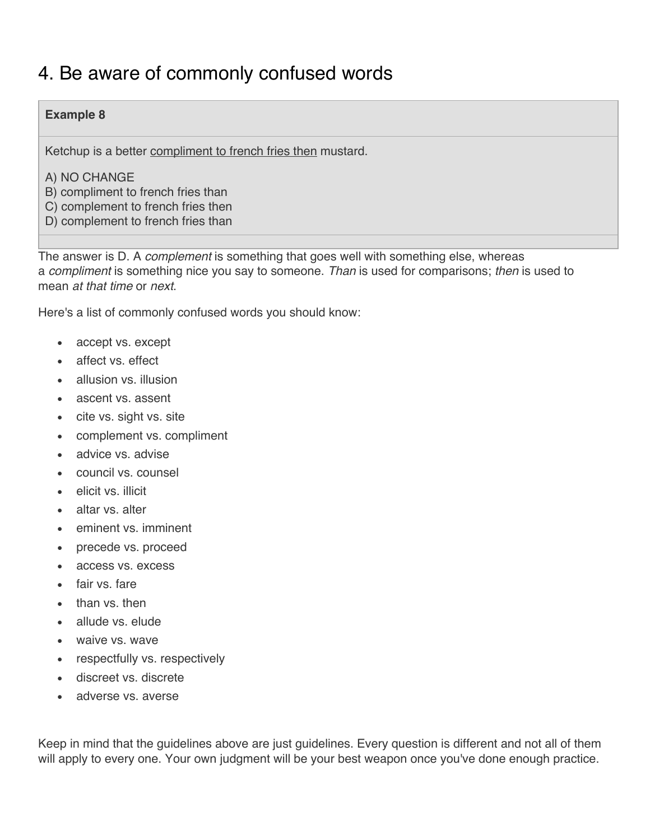### 4. Be aware of commonly confused words

### **Example 8**

Ketchup is a better compliment to french fries then mustard.

- A) NO CHANGE
- B) compliment to french fries than
- C) complement to french fries then
- D) complement to french fries than

The answer is D. A *complement* is something that goes well with something else, whereas a *compliment* is something nice you say to someone. *Than* is used for comparisons; *then* is used to mean *at that time* or *next*.

Here's a list of commonly confused words you should know:

- accept vs. except
- affect vs. effect
- allusion vs. illusion
- ascent vs. assent
- cite vs. sight vs. site
- complement vs. compliment
- advice vs. advise
- council vs. counsel
- elicit vs. illicit
- altar vs. alter
- eminent vs. imminent
- precede vs. proceed
- access vs. excess
- fair vs. fare
- than vs. then
- allude vs. elude
- waive vs. wave
- respectfully vs. respectively
- discreet vs. discrete
- adverse vs. averse

Keep in mind that the guidelines above are just guidelines. Every question is different and not all of them will apply to every one. Your own judgment will be your best weapon once you've done enough practice.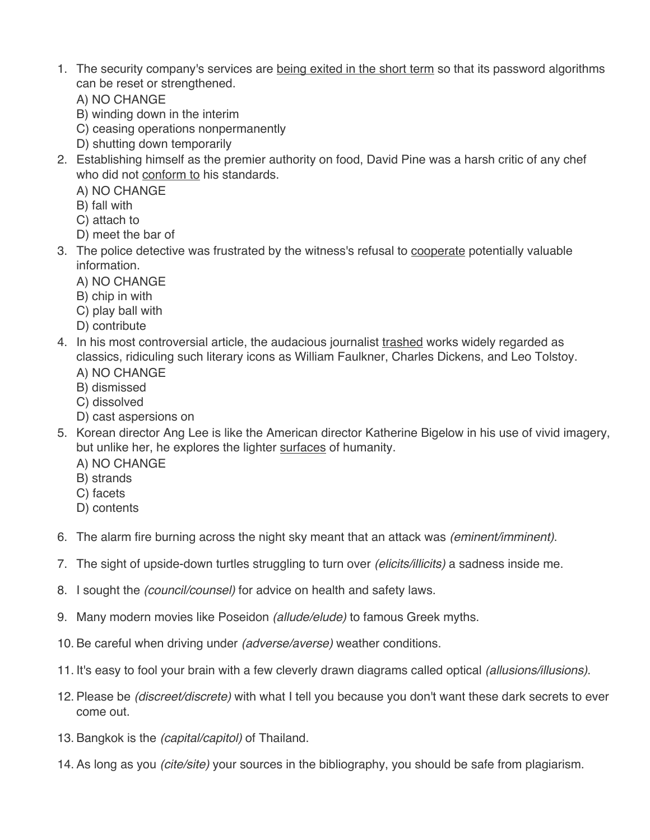- 1. The security company's services are being exited in the short term so that its password algorithms can be reset or strengthened.
	- A) NO CHANGE
	- B) winding down in the interim
	- C) ceasing operations nonpermanently
	- D) shutting down temporarily
- 2. Establishing himself as the premier authority on food, David Pine was a harsh critic of any chef who did not conform to his standards.
	- A) NO CHANGE
	- B) fall with
	- C) attach to
	- D) meet the bar of
- 3. The police detective was frustrated by the witness's refusal to cooperate potentially valuable information.
	- A) NO CHANGE
	- B) chip in with
	- C) play ball with
	- D) contribute
- 4. In his most controversial article, the audacious journalist trashed works widely regarded as classics, ridiculing such literary icons as William Faulkner, Charles Dickens, and Leo Tolstoy. A) NO CHANGE
	- B) dismissed
	- C) dissolved
	- D) cast aspersions on
- 5. Korean director Ang Lee is like the American director Katherine Bigelow in his use of vivid imagery, but unlike her, he explores the lighter surfaces of humanity.
	- A) NO CHANGE
	- B) strands
	- C) facets
	- D) contents
- 6. The alarm fire burning across the night sky meant that an attack was *(eminent/imminent)*.
- 7. The sight of upside-down turtles struggling to turn over *(elicits/illicits)* a sadness inside me.
- 8. I sought the *(council/counsel)* for advice on health and safety laws.
- 9. Many modern movies like Poseidon *(allude/elude)* to famous Greek myths.
- 10. Be careful when driving under *(adverse/averse)* weather conditions.
- 11. It's easy to fool your brain with a few cleverly drawn diagrams called optical *(allusions/illusions)*.
- 12. Please be *(discreet/discrete)* with what I tell you because you don't want these dark secrets to ever come out.
- 13. Bangkok is the *(capital/capitol)* of Thailand.
- 14. As long as you *(cite/site)* your sources in the bibliography, you should be safe from plagiarism.